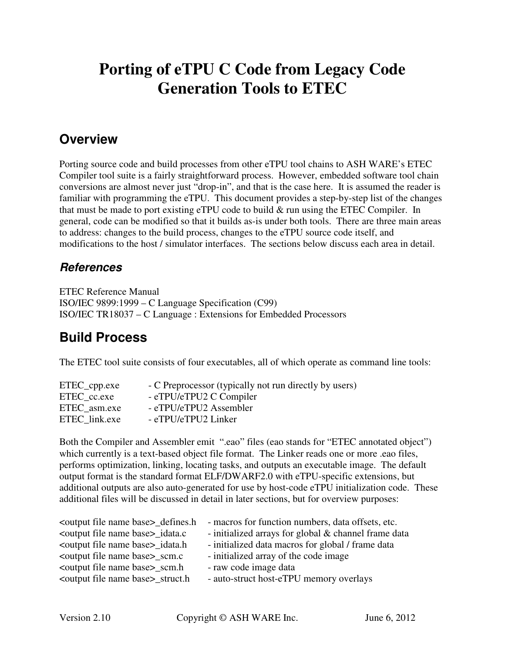# **Porting of eTPU C Code from Legacy Code Generation Tools to ETEC**

## **Overview**

Porting source code and build processes from other eTPU tool chains to ASH WARE's ETEC Compiler tool suite is a fairly straightforward process. However, embedded software tool chain conversions are almost never just "drop-in", and that is the case here. It is assumed the reader is familiar with programming the eTPU. This document provides a step-by-step list of the changes that must be made to port existing eTPU code to build & run using the ETEC Compiler. In general, code can be modified so that it builds as-is under both tools. There are three main areas to address: changes to the build process, changes to the eTPU source code itself, and modifications to the host / simulator interfaces. The sections below discuss each area in detail.

#### **References**

ETEC Reference Manual ISO/IEC 9899:1999 – C Language Specification (C99) ISO/IEC TR18037 – C Language : Extensions for Embedded Processors

## **Build Process**

The ETEC tool suite consists of four executables, all of which operate as command line tools:

| ETEC_cpp.exe  | - C Preprocessor (typically not run directly by users) |
|---------------|--------------------------------------------------------|
| ETEC cc.exe   | - eTPU/eTPU2 C Compiler                                |
| ETEC asm.exe  | - eTPU/eTPU2 Assembler                                 |
| ETEC link.exe | - eTPU/eTPU2 Linker                                    |

Both the Compiler and Assembler emit ".eao" files (eao stands for "ETEC annotated object") which currently is a text-based object file format. The Linker reads one or more .eao files, performs optimization, linking, locating tasks, and outputs an executable image. The default output format is the standard format ELF/DWARF2.0 with eTPU-specific extensions, but additional outputs are also auto-generated for use by host-code eTPU initialization code. These additional files will be discussed in detail in later sections, but for overview purposes:

| - macros for function numbers, data offsets, etc.    |
|------------------------------------------------------|
| - initialized arrays for global & channel frame data |
| - initialized data macros for global / frame data    |
| - initialized array of the code image                |
| - raw code image data                                |
| - auto-struct host-eTPU memory overlays              |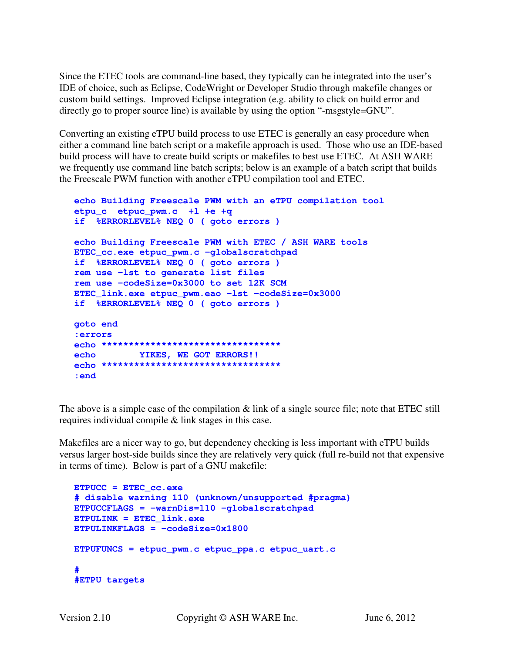Since the ETEC tools are command-line based, they typically can be integrated into the user's IDE of choice, such as Eclipse, CodeWright or Developer Studio through makefile changes or custom build settings. Improved Eclipse integration (e.g. ability to click on build error and directly go to proper source line) is available by using the option "-msgstyle=GNU".

Converting an existing eTPU build process to use ETEC is generally an easy procedure when either a command line batch script or a makefile approach is used. Those who use an IDE-based build process will have to create build scripts or makefiles to best use ETEC. At ASH WARE we frequently use command line batch scripts; below is an example of a batch script that builds the Freescale PWM function with another eTPU compilation tool and ETEC.

```
echo Building Freescale PWM with an eTPU compilation tool 
etpu_c etpuc_pwm.c +l +e +q 
if %ERRORLEVEL% NEQ 0 ( goto errors ) 
echo Building Freescale PWM with ETEC / ASH WARE tools 
ETEC_cc.exe etpuc_pwm.c -globalscratchpad 
if %ERRORLEVEL% NEQ 0 ( goto errors ) 
rem use –lst to generate list files 
rem use –codeSize=0x3000 to set 12K SCM 
ETEC_link.exe etpuc_pwm.eao –lst –codeSize=0x3000 
if %ERRORLEVEL% NEQ 0 ( goto errors ) 
goto end 
:errors 
echo ********************************* 
echo YIKES, WE GOT ERRORS!! 
echo ********************************* 
:end
```
The above is a simple case of the compilation & link of a single source file; note that ETEC still requires individual compile & link stages in this case.

Makefiles are a nicer way to go, but dependency checking is less important with eTPU builds versus larger host-side builds since they are relatively very quick (full re-build not that expensive in terms of time). Below is part of a GNU makefile:

```
ETPUCC = ETEC_cc.exe 
# disable warning 110 (unknown/unsupported #pragma)
ETPUCCFLAGS = -warnDis=110 -globalscratchpad 
ETPULINK = ETEC_link.exe 
ETPULINKFLAGS = -codeSize=0x1800 
ETPUFUNCS = etpuc_pwm.c etpuc_ppa.c etpuc_uart.c 
# 
#ETPU targets
```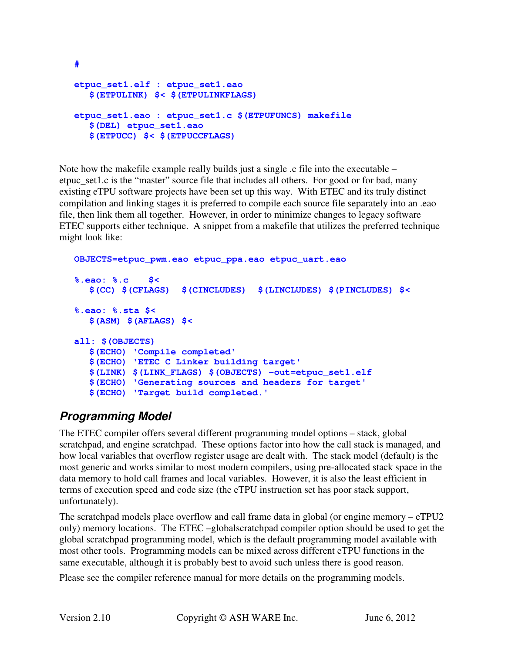```
etpuc_set1.elf : etpuc_set1.eao 
   $(ETPULINK) $< $(ETPULINKFLAGS) 
etpuc_set1.eao : etpuc_set1.c $(ETPUFUNCS) makefile
   $(DEL) etpuc_set1.eao 
   $(ETPUCC) $< $(ETPUCCFLAGS)
```
Note how the makefile example really builds just a single .c file into the executable – etpuc set1.c is the "master" source file that includes all others. For good or for bad, many existing eTPU software projects have been set up this way. With ETEC and its truly distinct compilation and linking stages it is preferred to compile each source file separately into an .eao file, then link them all together. However, in order to minimize changes to legacy software ETEC supports either technique. A snippet from a makefile that utilizes the preferred technique might look like:

```
OBJECTS=etpuc_pwm.eao etpuc_ppa.eao etpuc_uart.eao 
%.eao: %.c $< 
   $(CC) $(CFLAGS) $(CINCLUDES) $(LINCLUDES) $(PINCLUDES) $< 
%.eao: %.sta $< 
   $(ASM) $(AFLAGS) $< 
all: $(OBJECTS) 
   $(ECHO) 'Compile completed' 
   $(ECHO) 'ETEC C Linker building target' 
   $(LINK) $(LINK_FLAGS) $(OBJECTS) -out=etpuc_set1.elf 
   $(ECHO) 'Generating sources and headers for target' 
   $(ECHO) 'Target build completed.'
```
## **Programming Model**

**#** 

The ETEC compiler offers several different programming model options – stack, global scratchpad, and engine scratchpad. These options factor into how the call stack is managed, and how local variables that overflow register usage are dealt with. The stack model (default) is the most generic and works similar to most modern compilers, using pre-allocated stack space in the data memory to hold call frames and local variables. However, it is also the least efficient in terms of execution speed and code size (the eTPU instruction set has poor stack support, unfortunately).

The scratchpad models place overflow and call frame data in global (or engine memory – eTPU2 only) memory locations. The ETEC –globalscratchpad compiler option should be used to get the global scratchpad programming model, which is the default programming model available with most other tools. Programming models can be mixed across different eTPU functions in the same executable, although it is probably best to avoid such unless there is good reason.

Please see the compiler reference manual for more details on the programming models.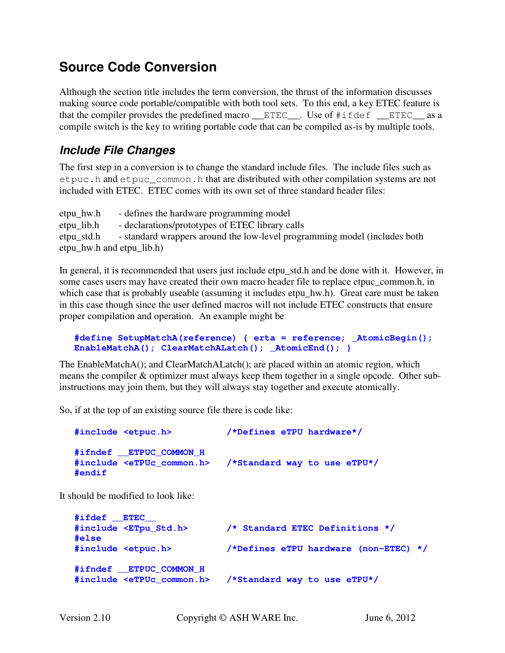## **Source Code Conversion**

Although the section title includes the term conversion, the thrust of the information discusses making source code portable/compatible with both tool sets. To this end, a key ETEC feature is that the compiler provides the predefined macro \_\_ETEC\_\_. Use of #ifdef \_\_ETEC\_\_ as a compile switch is the key to writing portable code that can be compiled as-is by multiple tools.

### **Include File Changes**

The first step in a conversion is to change the standard include files. The include files such as etpuc.h and etpuc\_common.h that are distributed with other compilation systems are not included with ETEC. ETEC comes with its own set of three standard header files:

etpu\_hw.h - defines the hardware programming model etpu\_lib.h - declarations/prototypes of ETEC library calls etpu\_std.h - standard wrappers around the low-level programming model (includes both etpu\_hw.h and etpu\_lib.h)

In general, it is recommended that users just include etpu\_std.h and be done with it. However, in some cases users may have created their own macro header file to replace etpuc common.h, in which case that is probably useable (assuming it includes etpu\_hw.h). Great care must be taken in this case though since the user defined macros will not include ETEC constructs that ensure proper compilation and operation. An example might be

```
#define SetupMatchA(reference) { erta = reference; _AtomicBegin(); 
EnableMatchA(); ClearMatchALatch(); _AtomicEnd(); }
```
The EnableMatchA(); and ClearMatchALatch(); are placed within an atomic region, which means the compiler & optimizer must always keep them together in a single opcode. Other subinstructions may join them, but they will always stay together and execute atomically.

So, if at the top of an existing source file there is code like:

| #include <etpuc.h></etpuc.h>                                              | /*Defines eTPU hardware*/    |
|---------------------------------------------------------------------------|------------------------------|
| #ifndef ETPUC COMMON H<br>#include <etpuc common.h=""><br/>#endif</etpuc> | /*Standard way to use eTPU*/ |

It should be modified to look like:

```
#ifdef __ETEC__ 
#include <ETpu_Std.h> /* Standard ETEC Definitions */ 
#else 
#include <etpuc.h> /*Defines eTPU hardware (non-ETEC) */ 
#ifndef __ETPUC_COMMON_H 
#include <eTPUc_common.h> /*Standard way to use eTPU*/
```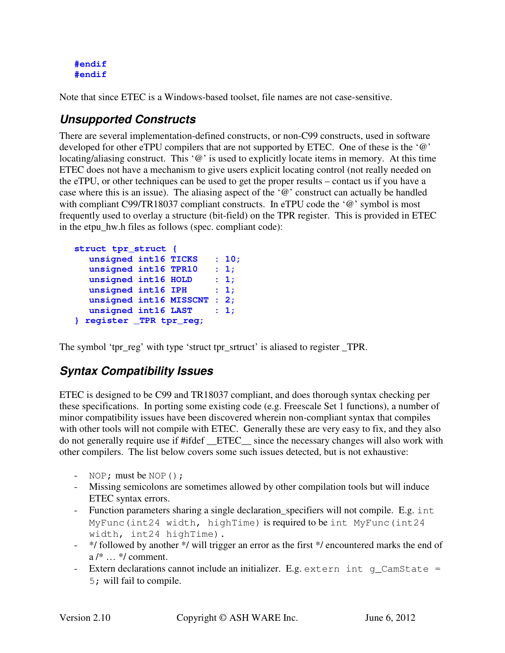**#endif #endif** 

Note that since ETEC is a Windows-based toolset, file names are not case-sensitive.

## **Unsupported Constructs**

There are several implementation-defined constructs, or non-C99 constructs, used in software developed for other eTPU compilers that are not supported by ETEC. One of these is the '@' locating/aliasing construct. This '@' is used to explicitly locate items in memory. At this time ETEC does not have a mechanism to give users explicit locating control (not really needed on the eTPU, or other techniques can be used to get the proper results – contact us if you have a case where this is an issue). The aliasing aspect of the '@' construct can actually be handled with compliant C99/TR18037 compliant constructs. In eTPU code the '@' symbol is most frequently used to overlay a structure (bit-field) on the TPR register. This is provided in ETEC in the etpu\_hw.h files as follows (spec. compliant code):

```
struct tpr_struct { 
   unsigned int16 TICKS : 10; 
   unsigned int16 TPR10 : 1; 
 unsigned int16 HOLD : 1; 
unsigned int16 IPH : 1;
   unsigned int16 MISSCNT : 2; 
   unsigned int16 LAST : 1; 
} register _TPR tpr_reg;
```
The symbol 'tpr\_reg' with type 'struct tpr\_srtruct' is aliased to register \_TPR.

## **Syntax Compatibility Issues**

ETEC is designed to be C99 and TR18037 compliant, and does thorough syntax checking per these specifications. In porting some existing code (e.g. Freescale Set 1 functions), a number of minor compatibility issues have been discovered wherein non-compliant syntax that compiles with other tools will not compile with ETEC. Generally these are very easy to fix, and they also do not generally require use if #ifdef \_\_ETEC\_\_ since the necessary changes will also work with other compilers. The list below covers some such issues detected, but is not exhaustive:

- NOP; must be NOP();
- Missing semicolons are sometimes allowed by other compilation tools but will induce ETEC syntax errors.
- Function parameters sharing a single declaration\_specifiers will not compile. E.g. int MyFunc(int24 width, highTime) is required to be int MyFunc(int24 width, int24 highTime).
- \*/ followed by another \*/ will trigger an error as the first \*/ encountered marks the end of a /\* … \*/ comment.
- Extern declarations cannot include an initializer. E.g. extern int q\_CamState = 5; will fail to compile.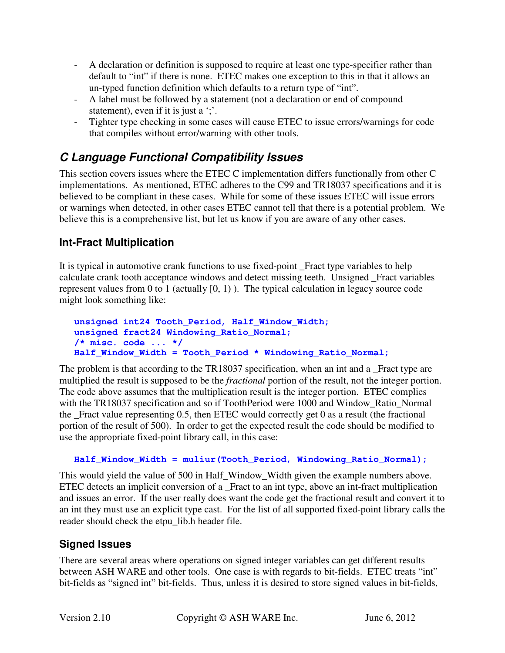- A declaration or definition is supposed to require at least one type-specifier rather than default to "int" if there is none. ETEC makes one exception to this in that it allows an un-typed function definition which defaults to a return type of "int".
- A label must be followed by a statement (not a declaration or end of compound statement), even if it is just a ';'.
- Tighter type checking in some cases will cause ETEC to issue errors/warnings for code that compiles without error/warning with other tools.

## **C Language Functional Compatibility Issues**

This section covers issues where the ETEC C implementation differs functionally from other C implementations. As mentioned, ETEC adheres to the C99 and TR18037 specifications and it is believed to be compliant in these cases. While for some of these issues ETEC will issue errors or warnings when detected, in other cases ETEC cannot tell that there is a potential problem. We believe this is a comprehensive list, but let us know if you are aware of any other cases.

### **Int-Fract Multiplication**

It is typical in automotive crank functions to use fixed-point \_Fract type variables to help calculate crank tooth acceptance windows and detect missing teeth. Unsigned \_Fract variables represent values from 0 to 1 (actually  $[0, 1)$ ). The typical calculation in legacy source code might look something like:

```
unsigned int24 Tooth_Period, Half_Window_Width; 
unsigned fract24 Windowing_Ratio_Normal; 
/* misc. code ... */ 
Half_Window_Width = Tooth_Period * Windowing_Ratio_Normal;
```
The problem is that according to the TR18037 specification, when an int and a Fract type are multiplied the result is supposed to be the *fractional* portion of the result, not the integer portion. The code above assumes that the multiplication result is the integer portion. ETEC complies with the TR18037 specification and so if ToothPeriod were 1000 and Window\_Ratio\_Normal the \_Fract value representing 0.5, then ETEC would correctly get 0 as a result (the fractional portion of the result of 500). In order to get the expected result the code should be modified to use the appropriate fixed-point library call, in this case:

#### **Half\_Window\_Width = muliur(Tooth\_Period, Windowing\_Ratio\_Normal);**

This would yield the value of 500 in Half\_Window\_Width given the example numbers above. ETEC detects an implicit conversion of a Fract to an int type, above an int-fract multiplication and issues an error. If the user really does want the code get the fractional result and convert it to an int they must use an explicit type cast. For the list of all supported fixed-point library calls the reader should check the etpu\_lib.h header file.

#### **Signed Issues**

There are several areas where operations on signed integer variables can get different results between ASH WARE and other tools. One case is with regards to bit-fields. ETEC treats "int" bit-fields as "signed int" bit-fields. Thus, unless it is desired to store signed values in bit-fields,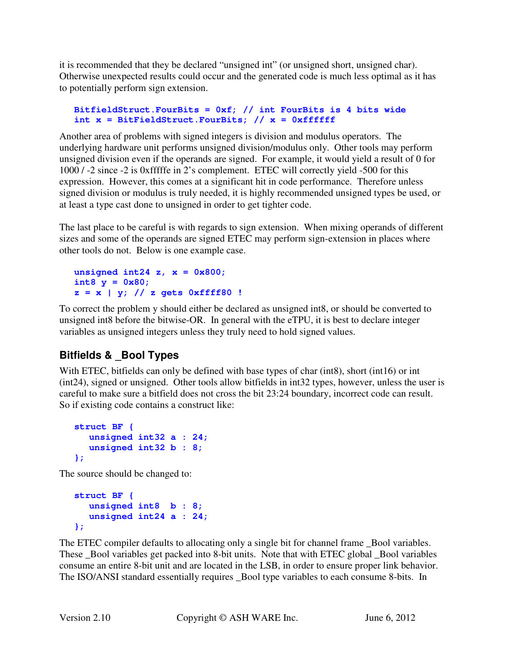it is recommended that they be declared "unsigned int" (or unsigned short, unsigned char). Otherwise unexpected results could occur and the generated code is much less optimal as it has to potentially perform sign extension.

#### **BitfieldStruct.FourBits = 0xf; // int FourBits is 4 bits wide int x = BitFieldStruct.FourBits; // x = 0xffffff**

Another area of problems with signed integers is division and modulus operators. The underlying hardware unit performs unsigned division/modulus only. Other tools may perform unsigned division even if the operands are signed. For example, it would yield a result of 0 for 1000 / -2 since -2 is 0xfffffe in 2's complement. ETEC will correctly yield -500 for this expression. However, this comes at a significant hit in code performance. Therefore unless signed division or modulus is truly needed, it is highly recommended unsigned types be used, or at least a type cast done to unsigned in order to get tighter code.

The last place to be careful is with regards to sign extension. When mixing operands of different sizes and some of the operands are signed ETEC may perform sign-extension in places where other tools do not. Below is one example case.

**unsigned int24 z, x = 0x800; int8 y = 0x80; z = x | y; // z gets 0xffff80 !** 

To correct the problem y should either be declared as unsigned int8, or should be converted to unsigned int8 before the bitwise-OR. In general with the eTPU, it is best to declare integer variables as unsigned integers unless they truly need to hold signed values.

### **Bitfields & \_Bool Types**

With ETEC, bitfields can only be defined with base types of char (int8), short (int16) or int (int24), signed or unsigned. Other tools allow bitfields in int32 types, however, unless the user is careful to make sure a bitfield does not cross the bit 23:24 boundary, incorrect code can result. So if existing code contains a construct like:

```
struct BF { 
  unsigned int32 a : 24; 
  unsigned int32 b : 8; 
};
```
The source should be changed to:

```
struct BF { 
  unsigned int8 b : 8; 
  unsigned int24 a : 24; 
};
```
The ETEC compiler defaults to allocating only a single bit for channel frame \_Bool variables. These \_Bool variables get packed into 8-bit units. Note that with ETEC global \_Bool variables consume an entire 8-bit unit and are located in the LSB, in order to ensure proper link behavior. The ISO/ANSI standard essentially requires \_Bool type variables to each consume 8-bits. In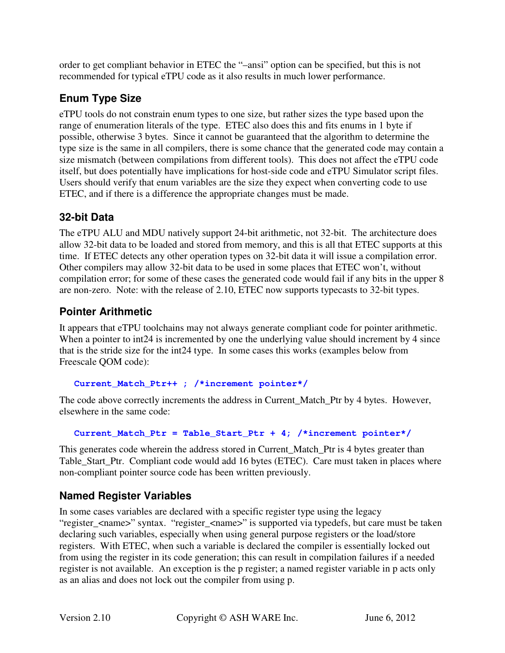order to get compliant behavior in ETEC the "–ansi" option can be specified, but this is not recommended for typical eTPU code as it also results in much lower performance.

## **Enum Type Size**

eTPU tools do not constrain enum types to one size, but rather sizes the type based upon the range of enumeration literals of the type. ETEC also does this and fits enums in 1 byte if possible, otherwise 3 bytes. Since it cannot be guaranteed that the algorithm to determine the type size is the same in all compilers, there is some chance that the generated code may contain a size mismatch (between compilations from different tools). This does not affect the eTPU code itself, but does potentially have implications for host-side code and eTPU Simulator script files. Users should verify that enum variables are the size they expect when converting code to use ETEC, and if there is a difference the appropriate changes must be made.

### **32-bit Data**

The eTPU ALU and MDU natively support 24-bit arithmetic, not 32-bit. The architecture does allow 32-bit data to be loaded and stored from memory, and this is all that ETEC supports at this time. If ETEC detects any other operation types on 32-bit data it will issue a compilation error. Other compilers may allow 32-bit data to be used in some places that ETEC won't, without compilation error; for some of these cases the generated code would fail if any bits in the upper 8 are non-zero. Note: with the release of 2.10, ETEC now supports typecasts to 32-bit types.

#### **Pointer Arithmetic**

It appears that eTPU toolchains may not always generate compliant code for pointer arithmetic. When a pointer to int 24 is incremented by one the underlying value should increment by 4 since that is the stride size for the int24 type. In some cases this works (examples below from Freescale QOM code):

```
Current_Match_Ptr++ ; /*increment pointer*/
```
The code above correctly increments the address in Current Match Ptr by 4 bytes. However, elsewhere in the same code:

**Current\_Match\_Ptr = Table\_Start\_Ptr + 4; /\*increment pointer\*/** 

This generates code wherein the address stored in Current Match Ptr is 4 bytes greater than Table\_Start\_Ptr. Compliant code would add 16 bytes (ETEC). Care must taken in places where non-compliant pointer source code has been written previously.

## **Named Register Variables**

In some cases variables are declared with a specific register type using the legacy "register\_<name>" syntax. "register\_<name>" is supported via typedefs, but care must be taken declaring such variables, especially when using general purpose registers or the load/store registers. With ETEC, when such a variable is declared the compiler is essentially locked out from using the register in its code generation; this can result in compilation failures if a needed register is not available. An exception is the p register; a named register variable in p acts only as an alias and does not lock out the compiler from using p.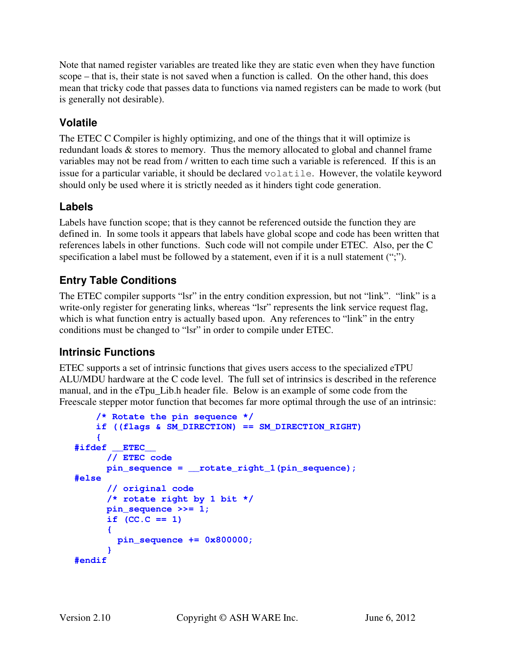Note that named register variables are treated like they are static even when they have function scope – that is, their state is not saved when a function is called. On the other hand, this does mean that tricky code that passes data to functions via named registers can be made to work (but is generally not desirable).

### **Volatile**

The ETEC C Compiler is highly optimizing, and one of the things that it will optimize is redundant loads & stores to memory. Thus the memory allocated to global and channel frame variables may not be read from / written to each time such a variable is referenced. If this is an issue for a particular variable, it should be declared volatile. However, the volatile keyword should only be used where it is strictly needed as it hinders tight code generation.

#### **Labels**

Labels have function scope; that is they cannot be referenced outside the function they are defined in. In some tools it appears that labels have global scope and code has been written that references labels in other functions. Such code will not compile under ETEC. Also, per the C specification a label must be followed by a statement, even if it is a null statement (";").

#### **Entry Table Conditions**

The ETEC compiler supports "lsr" in the entry condition expression, but not "link". "link" is a write-only register for generating links, whereas "lsr" represents the link service request flag, which is what function entry is actually based upon. Any references to "link" in the entry conditions must be changed to "lsr" in order to compile under ETEC.

#### **Intrinsic Functions**

ETEC supports a set of intrinsic functions that gives users access to the specialized eTPU ALU/MDU hardware at the C code level. The full set of intrinsics is described in the reference manual, and in the eTpu\_Lib.h header file. Below is an example of some code from the Freescale stepper motor function that becomes far more optimal through the use of an intrinsic:

```
 /* Rotate the pin sequence */ 
     if ((flags & SM_DIRECTION) == SM_DIRECTION_RIGHT) 
     { 
#ifdef __ETEC__ 
       // ETEC code 
       pin_sequence = __rotate_right_1(pin_sequence); 
#else 
       // original code 
       /* rotate right by 1 bit */ 
       pin_sequence >>= 1; 
      if (CC.C == 1) { 
         pin_sequence += 0x800000; 
 } 
#endif
```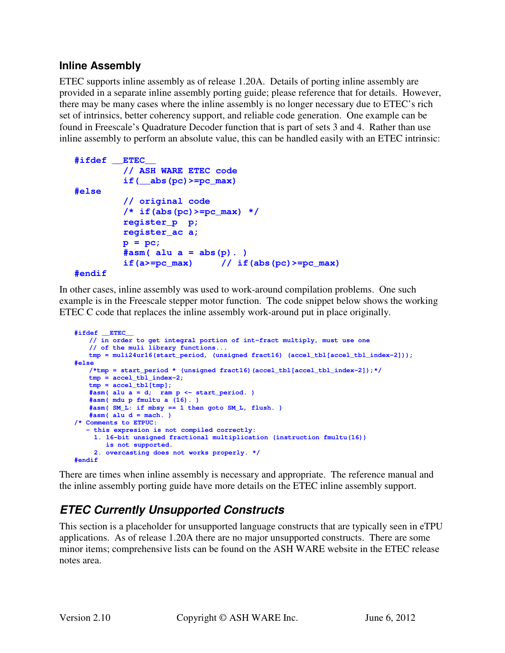#### **Inline Assembly**

ETEC supports inline assembly as of release 1.20A. Details of porting inline assembly are provided in a separate inline assembly porting guide; please reference that for details. However, there may be many cases where the inline assembly is no longer necessary due to ETEC's rich set of intrinsics, better coherency support, and reliable code generation. One example can be found in Freescale's Quadrature Decoder function that is part of sets 3 and 4. Rather than use inline assembly to perform an absolute value, this can be handled easily with an ETEC intrinsic:

```
#ifdef __ETEC__ 
          // ASH WARE ETEC code 
          if(__abs(pc)>=pc_max) 
#else 
          // original code 
          /* if(abs(pc)>=pc_max) */ 
          register_p p; 
          register_ac a; 
          p = pc; 
         #asm( alu a = abs(p).)
         if(a>=pc\_max) // if(abs(pc)>=pc\_max)
```

```
#endif
```
In other cases, inline assembly was used to work-around compilation problems. One such example is in the Freescale stepper motor function. The code snippet below shows the working ETEC C code that replaces the inline assembly work-around put in place originally.

```
#ifdef __ETEC__ 
    // in order to get integral portion of int-fract multiply, must use one 
    // of the muli library functions... 
   tmp = muli24ur16(start_period, (unsigned fract16) (accel_tbl[accel_tbl_index-2])); 
#else 
    /*tmp = start_period * (unsigned fract16)(accel_tbl[accel_tbl_index-2]);*/ 
   tmp = accel_tbl_index-2; 
   tmp = accel_tbl[tmp]; 
   #asm( alu a = d; ram p <- start_period. ) 
   #asm( mdu p fmultu a (16). ) 
   #asm( SM_L: if mbsy == 1 then goto SM_L, flush. ) 
   #asm( alu d = mach. ) 
/* Comments to ETPUC: 
    - this expresion is not compiled correctly: 
     1. 16-bit unsigned fractional multiplication (instruction fmultu(16)) 
        is not supported. 
     2. overcasting does not works properly. */ 
#endif
```
There are times when inline assembly is necessary and appropriate. The reference manual and the inline assembly porting guide have more details on the ETEC inline assembly support.

## **ETEC Currently Unsupported Constructs**

This section is a placeholder for unsupported language constructs that are typically seen in eTPU applications. As of release 1.20A there are no major unsupported constructs. There are some minor items; comprehensive lists can be found on the ASH WARE website in the ETEC release notes area.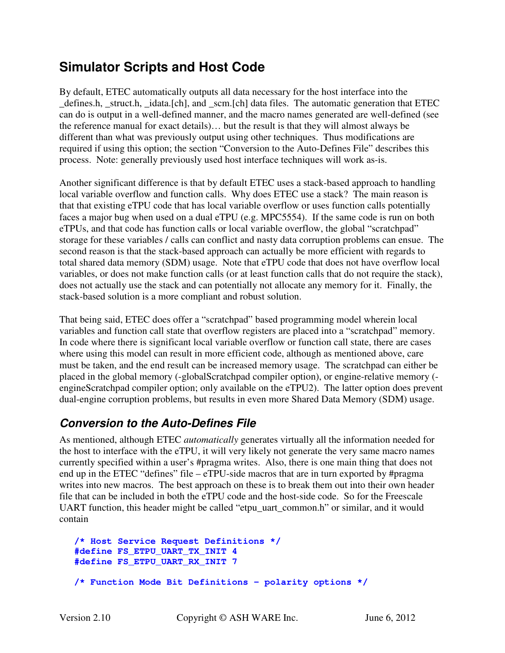## **Simulator Scripts and Host Code**

By default, ETEC automatically outputs all data necessary for the host interface into the \_defines.h, \_struct.h, \_idata.[ch], and \_scm.[ch] data files. The automatic generation that ETEC can do is output in a well-defined manner, and the macro names generated are well-defined (see the reference manual for exact details)… but the result is that they will almost always be different than what was previously output using other techniques. Thus modifications are required if using this option; the section "Conversion to the Auto-Defines File" describes this process. Note: generally previously used host interface techniques will work as-is.

Another significant difference is that by default ETEC uses a stack-based approach to handling local variable overflow and function calls. Why does ETEC use a stack? The main reason is that that existing eTPU code that has local variable overflow or uses function calls potentially faces a major bug when used on a dual eTPU (e.g. MPC5554). If the same code is run on both eTPUs, and that code has function calls or local variable overflow, the global "scratchpad" storage for these variables / calls can conflict and nasty data corruption problems can ensue. The second reason is that the stack-based approach can actually be more efficient with regards to total shared data memory (SDM) usage. Note that eTPU code that does not have overflow local variables, or does not make function calls (or at least function calls that do not require the stack), does not actually use the stack and can potentially not allocate any memory for it. Finally, the stack-based solution is a more compliant and robust solution.

That being said, ETEC does offer a "scratchpad" based programming model wherein local variables and function call state that overflow registers are placed into a "scratchpad" memory. In code where there is significant local variable overflow or function call state, there are cases where using this model can result in more efficient code, although as mentioned above, care must be taken, and the end result can be increased memory usage. The scratchpad can either be placed in the global memory (-globalScratchpad compiler option), or engine-relative memory ( engineScratchpad compiler option; only available on the eTPU2). The latter option does prevent dual-engine corruption problems, but results in even more Shared Data Memory (SDM) usage.

## **Conversion to the Auto-Defines File**

As mentioned, although ETEC *automatically* generates virtually all the information needed for the host to interface with the eTPU, it will very likely not generate the very same macro names currently specified within a user's #pragma writes. Also, there is one main thing that does not end up in the ETEC "defines" file – eTPU-side macros that are in turn exported by #pragma writes into new macros. The best approach on these is to break them out into their own header file that can be included in both the eTPU code and the host-side code. So for the Freescale UART function, this header might be called "etpu\_uart\_common.h" or similar, and it would contain

```
/* Host Service Request Definitions */ 
#define FS_ETPU_UART_TX_INIT 4 
#define FS_ETPU_UART_RX_INIT 7 
/* Function Mode Bit Definitions - polarity options */
```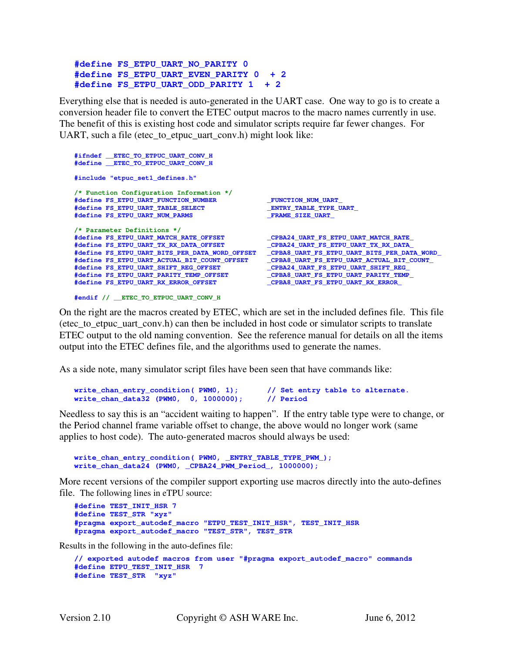```
#define FS_ETPU_UART_NO_PARITY 0 
#define FS_ETPU_UART_EVEN_PARITY 0 + 2 
#define FS_ETPU_UART_ODD_PARITY 1 + 2
```
Everything else that is needed is auto-generated in the UART case. One way to go is to create a conversion header file to convert the ETEC output macros to the macro names currently in use. The benefit of this is existing host code and simulator scripts require far fewer changes. For UART, such a file (etec to etpuc uart conv.h) might look like:

```
#ifndef __ETEC_TO_ETPUC_UART_CONV_H 
#define __ETEC_TO_ETPUC_UART_CONV_H 
#include "etpuc_set1_defines.h" 
/* Function Configuration Information */ 
#define FS_ETPU_UART_FUNCTION_NUMBER _FUNCTION_NUM_UART_ 
#define FS_ETPU_UART_TABLE_SELECT _ENTRY_TABLE_TYPE_UART_ 
#define FS_ETPU_UART_NUM_PARMS _FRAME_SIZE_UART_ 
/* Parameter Definitions */ 
#define FS_ETPU_UART_MATCH_RATE_OFFSET _CPBA24_UART_FS_ETPU_UART_MATCH_RATE_ 
#define FS_ETPU_UART_TX_RX_DATA_OFFSET _CPBA24_UART_FS_ETPU_UART_TX_RX_DATA_ 
#define FS_ETPU_UART_BITS_PER_DATA_WORD_OFFSET _CPBA8_UART_FS_ETPU_UART_BITS_PER_DATA_WORD_ 
#define FS_ETPU_UART_ACTUAL_BIT_COUNT_OFFSET _CPBA8_UART_FS_ETPU_UART_ACTUAL_BIT_COUNT_ 
#define FS_ETPU_UART_SHIFT_REG_OFFSET _CPBA24_UART_FS_ETPU_UART_SHIFT_REG_ 
                                            #define FS_ETPU_UART_PARITY_TEMP_OFFSET _CPBA8_UART_FS_ETPU_UART_PARITY_TEMP_ 
#define FS_ETPU_UART_RX_ERROR_OFFSET _CPBA8_UART_FS_ETPU_UART_RX_ERROR_
```

```
#endif // __ETEC_TO_ETPUC_UART_CONV_H
```
On the right are the macros created by ETEC, which are set in the included defines file. This file (etec\_to\_etpuc\_uart\_conv.h) can then be included in host code or simulator scripts to translate ETEC output to the old naming convention. See the reference manual for details on all the items output into the ETEC defines file, and the algorithms used to generate the names.

As a side note, many simulator script files have been seen that have commands like:

```
write_chan_entry_condition( PWM0, 1); // Set entry table to alternate. 
write chan data32 (PWM0, 0, 1000000);
```
Needless to say this is an "accident waiting to happen". If the entry table type were to change, or the Period channel frame variable offset to change, the above would no longer work (same applies to host code). The auto-generated macros should always be used:

```
write_chan_entry_condition( PWM0, _ENTRY_TABLE_TYPE_PWM_); 
write_chan_data24 (PWM0, _CPBA24_PWM_Period_, 1000000);
```
More recent versions of the compiler support exporting use macros directly into the auto-defines file. The following lines in eTPU source:

```
#define TEST_INIT_HSR 7 
#define TEST_STR "xyz" 
#pragma export_autodef_macro "ETPU_TEST_INIT_HSR", TEST_INIT_HSR 
#pragma export_autodef_macro "TEST_STR", TEST_STR
```
Results in the following in the auto-defines file:

```
// exported autodef macros from user "#pragma export_autodef_macro" commands 
#define ETPU_TEST_INIT_HSR 7 
#define TEST_STR "xyz"
```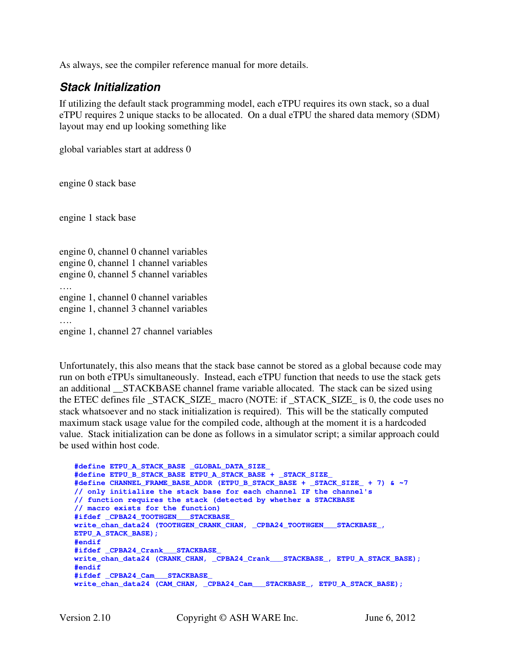As always, see the compiler reference manual for more details.

#### **Stack Initialization**

If utilizing the default stack programming model, each eTPU requires its own stack, so a dual eTPU requires 2 unique stacks to be allocated. On a dual eTPU the shared data memory (SDM) layout may end up looking something like

global variables start at address 0

engine 0 stack base

engine 1 stack base

engine 0, channel 0 channel variables engine 0, channel 1 channel variables engine 0, channel 5 channel variables …. engine 1, channel 0 channel variables engine 1, channel 3 channel variables …. engine 1, channel 27 channel variables

Unfortunately, this also means that the stack base cannot be stored as a global because code may run on both eTPUs simultaneously. Instead, each eTPU function that needs to use the stack gets an additional \_\_STACKBASE channel frame variable allocated. The stack can be sized using the ETEC defines file STACK SIZE macro (NOTE: if STACK SIZE is 0, the code uses no stack whatsoever and no stack initialization is required). This will be the statically computed maximum stack usage value for the compiled code, although at the moment it is a hardcoded value. Stack initialization can be done as follows in a simulator script; a similar approach could be used within host code.

```
#define ETPU_A_STACK_BASE _GLOBAL_DATA_SIZE_ 
#define ETPU_B_STACK_BASE ETPU_A_STACK_BASE + _STACK_SIZE_ 
#define CHANNEL_FRAME_BASE_ADDR (ETPU_B_STACK_BASE + _STACK_SIZE_ + 7) & ~7 
// only initialize the stack base for each channel IF the channel's 
// function requires the stack (detected by whether a STACKBASE 
// macro exists for the function) 
#ifdef _CPBA24_TOOTHGEN___STACKBASE_ 
write_chan_data24 (TOOTHGEN_CRANK_CHAN, _CPBA24_TOOTHGEN___STACKBASE_, 
ETPU_A_STACK_BASE); 
#endif 
#ifdef _CPBA24_Crank___STACKBASE_ 
write_chan_data24 (CRANK_CHAN, _CPBA24_Crank___STACKBASE_, ETPU_A_STACK_BASE); 
#endif 
#ifdef _CPBA24_Cam___STACKBASE_ 
write_chan_data24 (CAM_CHAN, _CPBA24_Cam___STACKBASE_, ETPU_A_STACK_BASE);
```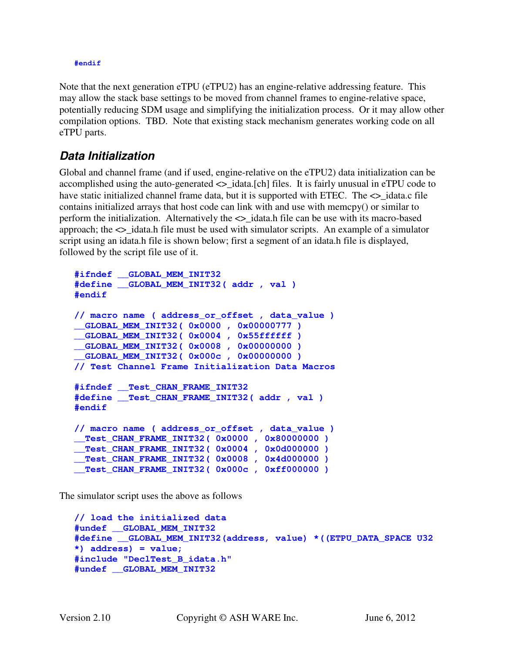#### **#endif**

Note that the next generation eTPU (eTPU2) has an engine-relative addressing feature. This may allow the stack base settings to be moved from channel frames to engine-relative space, potentially reducing SDM usage and simplifying the initialization process. Or it may allow other compilation options. TBD. Note that existing stack mechanism generates working code on all eTPU parts.

#### **Data Initialization**

Global and channel frame (and if used, engine-relative on the eTPU2) data initialization can be accomplished using the auto-generated <>\_idata.[ch] files. It is fairly unusual in eTPU code to have static initialized channel frame data, but it is supported with ETEC. The  $\leq$  idata.c file contains initialized arrays that host code can link with and use with memcpy() or similar to perform the initialization. Alternatively the  $\langle \rangle$  idata.h file can be use with its macro-based approach; the <>\_idata.h file must be used with simulator scripts. An example of a simulator script using an idata.h file is shown below; first a segment of an idata.h file is displayed, followed by the script file use of it.

```
#ifndef __GLOBAL_MEM_INIT32 
#define __GLOBAL_MEM_INIT32( addr , val ) 
#endif 
// macro name ( address_or_offset , data_value ) 
__GLOBAL_MEM_INIT32( 0x0000 , 0x00000777 ) 
__GLOBAL_MEM_INIT32( 0x0004 , 0x55ffffff ) 
__GLOBAL_MEM_INIT32( 0x0008 , 0x00000000 ) 
__GLOBAL_MEM_INIT32( 0x000c , 0x00000000 ) 
// Test Channel Frame Initialization Data Macros 
#ifndef __Test_CHAN_FRAME_INIT32 
#define __Test_CHAN_FRAME_INIT32( addr , val ) 
#endif 
// macro name ( address_or_offset , data_value ) 
__Test_CHAN_FRAME_INIT32( 0x0000 , 0x80000000 ) 
__Test_CHAN_FRAME_INIT32( 0x0004 , 0x0d000000 ) 
__Test_CHAN_FRAME_INIT32( 0x0008 , 0x4d000000 ) 
__Test_CHAN_FRAME_INIT32( 0x000c , 0xff000000 )
```
The simulator script uses the above as follows

```
// load the initialized data 
#undef __GLOBAL_MEM_INIT32 
#define __GLOBAL_MEM_INIT32(address, value) *((ETPU_DATA_SPACE U32 
*) address) = value; 
#include "DeclTest_B_idata.h" 
#undef __GLOBAL_MEM_INIT32
```